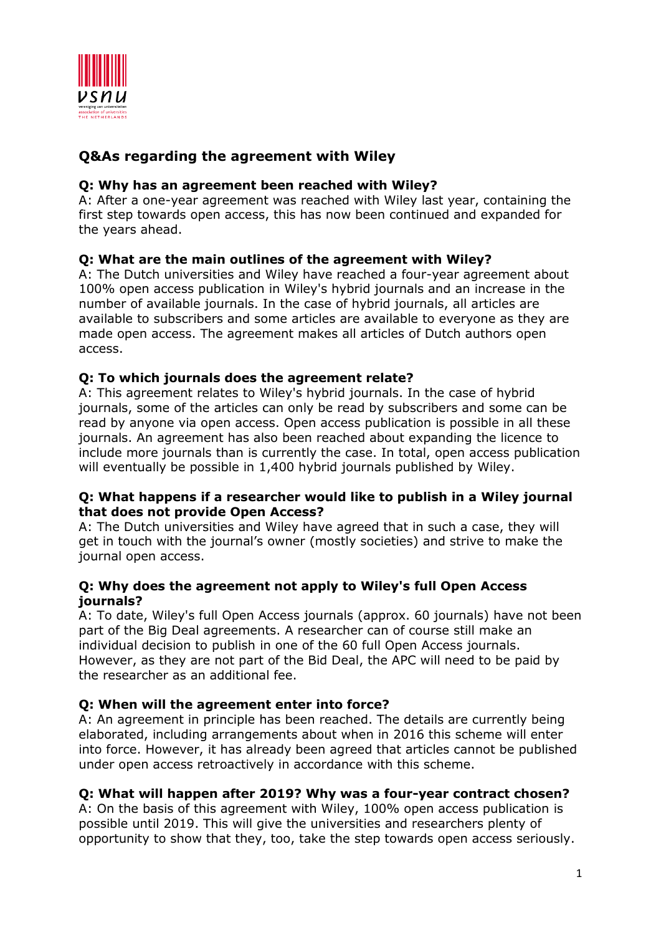

# **Q&As regarding the agreement with Wiley**

### **Q: Why has an agreement been reached with Wiley?**

A: After a one-year agreement was reached with Wiley last year, containing the first step towards open access, this has now been continued and expanded for the years ahead.

## **Q: What are the main outlines of the agreement with Wiley?**

A: The Dutch universities and Wiley have reached a four-year agreement about 100% open access publication in Wiley's hybrid journals and an increase in the number of available journals. In the case of hybrid journals, all articles are available to subscribers and some articles are available to everyone as they are made open access. The agreement makes all articles of Dutch authors open access.

### **Q: To which journals does the agreement relate?**

A: This agreement relates to Wiley's hybrid journals. In the case of hybrid journals, some of the articles can only be read by subscribers and some can be read by anyone via open access. Open access publication is possible in all these journals. An agreement has also been reached about expanding the licence to include more journals than is currently the case. In total, open access publication will eventually be possible in 1,400 hybrid journals published by Wiley.

### **Q: What happens if a researcher would like to publish in a Wiley journal that does not provide Open Access?**

A: The Dutch universities and Wiley have agreed that in such a case, they will get in touch with the journal's owner (mostly societies) and strive to make the journal open access.

#### **Q: Why does the agreement not apply to Wiley's full Open Access journals?**

A: To date, Wiley's full Open Access journals (approx. 60 journals) have not been part of the Big Deal agreements. A researcher can of course still make an individual decision to publish in one of the 60 full Open Access journals. However, as they are not part of the Bid Deal, the APC will need to be paid by the researcher as an additional fee.

### **Q: When will the agreement enter into force?**

A: An agreement in principle has been reached. The details are currently being elaborated, including arrangements about when in 2016 this scheme will enter into force. However, it has already been agreed that articles cannot be published under open access retroactively in accordance with this scheme.

### **Q: What will happen after 2019? Why was a four-year contract chosen?**

A: On the basis of this agreement with Wiley, 100% open access publication is possible until 2019. This will give the universities and researchers plenty of opportunity to show that they, too, take the step towards open access seriously.